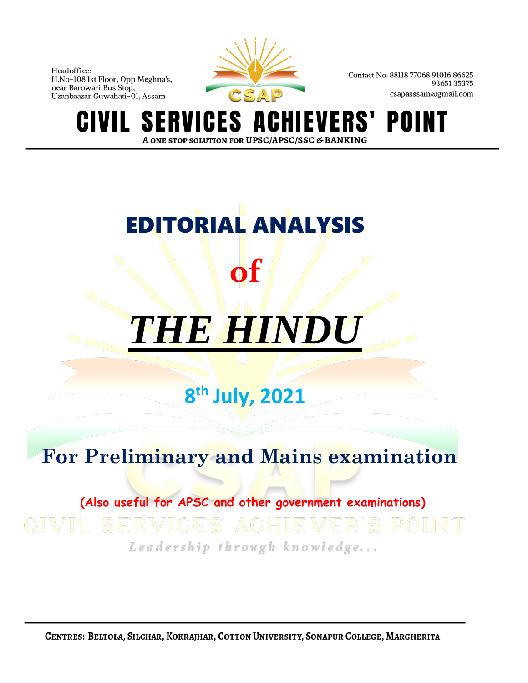

Contact No: 88118 77068 91016 86625 9365135375 csapasssam@gmail.com

**S** VERS' POII ERVI IGES A N T A ONE STOP SOLUTION FOR UPSC/APSC/SSC & BANKING

# EDITORIAL ANALYSIS **of** *THE HINDU*

# **8 th July, 2021**

# **For Preliminary and Mains examination**

# **(Also useful for APSC and other government examinations)**

Leadership through knowledge...

CENTRES: BELTOLA, SILCHAR, KOKRAJHAR, COTTON UNIVERSITY, SONAPUR COLLEGE, MARGHERITA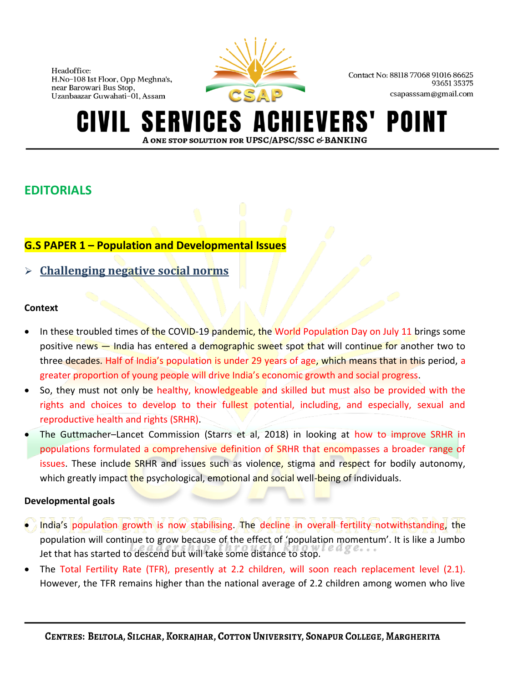

Contact No: 88118 77068 91016 86625 9365135375 csapasssam@gmail.com

#### **SERVICES AO IEVERS'** POINT A ONE STOP SOLUTION FOR UPSC/APSC/SSC & BANKING

# **EDITORIALS**

# **G.S PAPER 1 – Population and Developmental Issues**

# ➢ **Challenging negative social norms**

# **Context**

- In these troubled times of the COVID-19 pandemic, the World Population Day on July 11 brings some positive news — India has entered a demographic sweet spot that will continue for another two to three decades. Half of India's population is under 29 years of age, which means that in this period, a greater proportion of young people will drive India's economic growth and social progress.
- So, they must not only be healthy, knowledgeable and skilled but must also be provided with the rights and choices to develop to their fullest potential, including, and especially, sexual and reproductive health and rights (SRHR).
- The Guttmacher–Lancet Commission (Starrs et al, 2018) in looking at how to improve SRHR in populations formulated a comprehensive definition of SRHR that encompasses a broader range of issues. These include SRHR and issues such as violence, stigma and respect for bodily autonomy, which greatly impact the psychological, emotional and social well-being of individuals.

# **Developmental goals**

- India's population growth is now stabilising. The decline in overall fertility notwithstanding, the population will continue to grow because of the effect of 'population momentum'. It is like a Jumbo Jet that has started to descend but will take some distance to stop.
- The Total Fertility Rate (TFR), presently at 2.2 children, will soon reach replacement level (2.1). However, the TFR remains higher than the national average of 2.2 children among women who live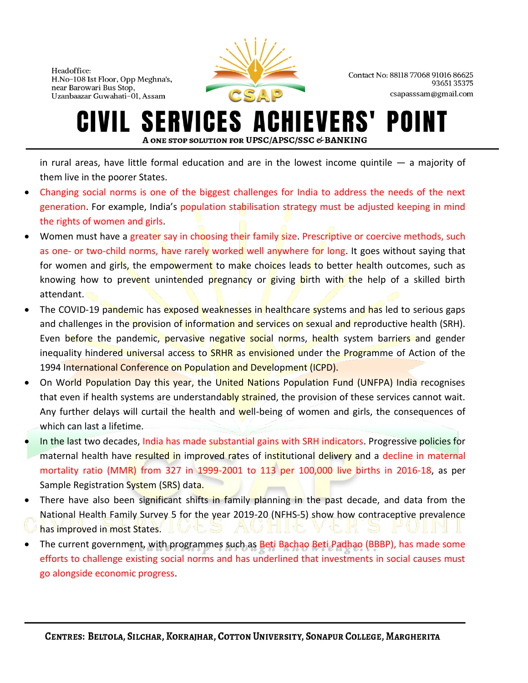

Contact No: 88118 77068 91016 86625 9365135375 csapasssam@gmail.com

#### **ERVICES A IEVERS'** POII IVIL. A ONE STOP SOLUTION FOR UPSC/APSC/SSC & BANKING

in rural areas, have little formal education and are in the lowest income quintile — a majority of them live in the poorer States.

- Changing social norms is one of the biggest challenges for India to address the needs of the next generation. For example, India's population stabilisation strategy must be adjusted keeping in mind the rights of women and girls.
- Women must have a greater say in choosing their family size. Prescriptive or coercive methods, such as one- or two-child norms, have rarely worked well anywhere for long. It goes without saying that for women and girls, the empowerment to make choices leads to better health outcomes, such as knowing how to prevent unintended pregnancy or giving birth with the help of a skilled birth attendant.
- The COVID-19 pandemic has exposed weaknesses in healthcare systems and has led to serious gaps and challenges in the provision of information and services on sexual and reproductive health (SRH). Even before the pandemic, pervasive negative social norms, health system barriers and gender inequality hindered universal access to **SRHR** as envisioned under the Programme of Action of the 1994 International Conference on Population and Development (ICPD).
- On World Population Day this year, the United Nations Population Fund (UNFPA) India recognises that even if health systems are understandably strained, the provision of these services cannot wait. Any further delays will curtail the health and well-being of women and girls, the consequences of which can last a lifetime.
- In the last two decades, India has made substantial gains with SRH indicators. Progressive policies for maternal health have resulted in improved rates of institutional delivery and a decline in maternal mortality ratio (MMR) from 327 in 1999-2001 to 113 per 100,000 live births in 2016-18, as per Sample Registration System (SRS) data.
- There have also been significant shifts in family planning in the past decade, and data from the National Health Family Survey 5 for the year 2019-20 (NFHS-5) show how contraceptive prevalence has improved in most States.
- The current government, with programmes such as Beti Bachao Beti Padhao (BBBP), has made some efforts to challenge existing social norms and has underlined that investments in social causes must go alongside economic progress.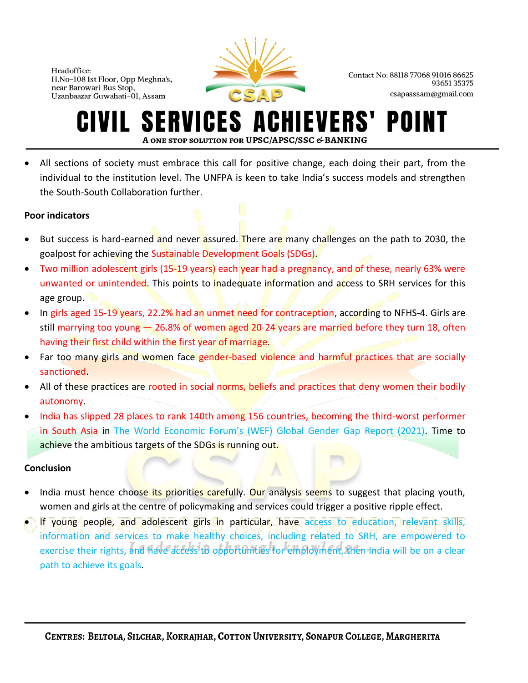

Contact No: 88118 77068 91016 86625 9365135375 csapasssam@gmail.com

#### ERVICES A **IEVERS'** POI A ONE STOP SOLUTION FOR UPSC/APSC/SSC & BANKING

• All sections of society must embrace this call for positive change, each doing their part, from the individual to the institution level. The UNFPA is keen to take India's success models and strengthen the South-South Collaboration further.

# **Poor indicators**

- But success is hard-earned and never assured. There are many challenges on the path to 2030, the goalpost for achieving the Sustainable Development Goals (SDGs).
- Two million adolescent girls (15-19 years) each year had a pregnancy, and of these, nearly 63% were unwanted or unintended. This points to inadequate information and access to SRH services for this age group.
- In girls aged 15-19 years, 22.2% had an unmet need for contraception, according to NFHS-4. Girls are still marrying too young - 26.8% of women aged 20-24 years are married before they turn 18, often having their first child within the first year of marriage.
- Far too many girls and women face gender-based violence and harmful practices that are socially sanctioned.
- All of these practices are rooted in social norms, beliefs and practices that deny women their bodily autonomy.
- India has slipped 28 places to rank 140th among 156 countries, becoming the third-worst performer in South Asia in The World Economic Forum's (WEF) Global Gender Gap Report (2021). Time to achieve the ambitious targets of the SDGs is running out.

# **Conclusion**

- India must hence choose its priorities carefully. Our analysis seems to suggest that placing youth, women and girls at the centre of policymaking and services could trigger a positive ripple effect.
- If young people, and adolescent girls in particular, have access to education, relevant skills, information and services to make healthy choices, including related to SRH, are empowered to exercise their rights, and have access to opportunities for employment, then India will be on a clear path to achieve its goals.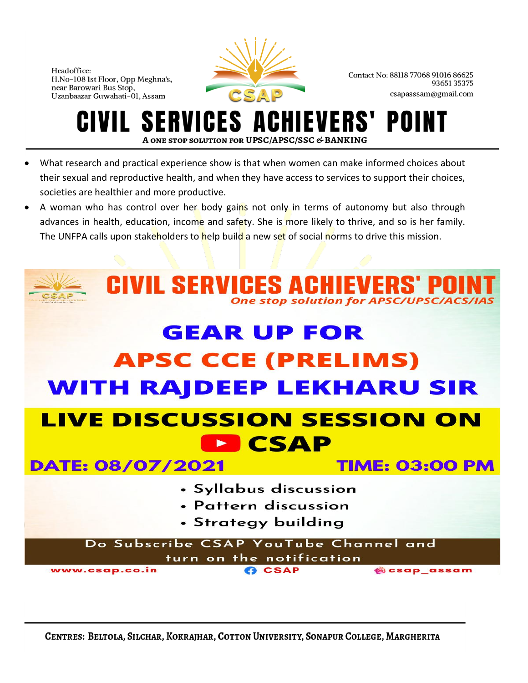

Contact No: 88118 77068 91016 86625 9365135375 csapasssam@gmail.com

#### **SERVICES A IEVERS'** POII A ONE STOP SOLUTION FOR UPSC/APSC/SSC & BANKING

- What research and practical experience show is that when women can make informed choices about their sexual and reproductive health, and when they have access to services to support their choices, societies are healthier and more productive.
- A woman who has control over her body gains not only in terms of autonomy but also through advances in health, education, income and safety. She is more likely to thrive, and so is her family. The UNFPA calls upon stakeholders to help build a new set of social norms to drive this mission.

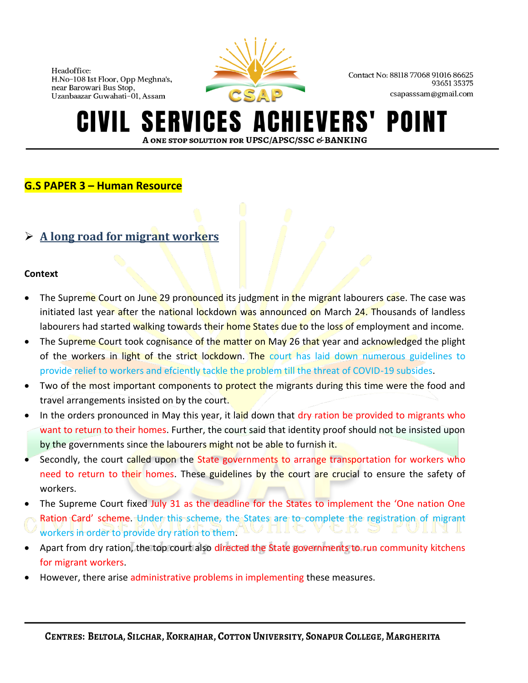

Contact No: 88118 77068 91016 86625 9365135375 csapasssam@gmail.com

#### **ERVICES A IEVERS'** POII A ONE STOP SOLUTION FOR UPSC/APSC/SSC & BANKING

# **G.S PAPER 3 – Human Resource**

# ➢ **A long road for migrant workers**

### **Context**

- The Supreme Court on June 29 pronounced its judgment in the migrant labourers case. The case was initiated last year after the national lockdown was announced on March 24. Thousands of landless labourers had started walking towards their home States due to the loss of employment and income.
- The Supreme Court took cognisance of the matter on May 26 that year and acknowledged the plight of the workers in light of the strict lockdown. The court has laid down numerous guidelines to provide relief to workers and efciently tackle the problem till the threat of COVID-19 subsides.
- Two of the most important components to protect the migrants during this time were the food and travel arrangements insisted on by the court.
- In the orders pronounced in May this year, it laid down that dry ration be provided to migrants who want to return to their homes. Further, the court said that identity proof should not be insisted upon by the governments since the labourers might not be able to furnish it.
- Secondly, the court called upon the State governments to arrange transportation for workers who need to return to their homes. These guidelines by the court are crucial to ensure the safety of workers.
- The Supreme Court fixed July 31 as the deadline for the States to implement the 'One nation One Ration Card' scheme. Under this scheme, the States are to complete the registration of migrant workers in order to provide dry ration to them.
- Apart from dry ration, the top court also directed the State governments to run community kitchens for migrant workers.
- However, there arise administrative problems in implementing these measures.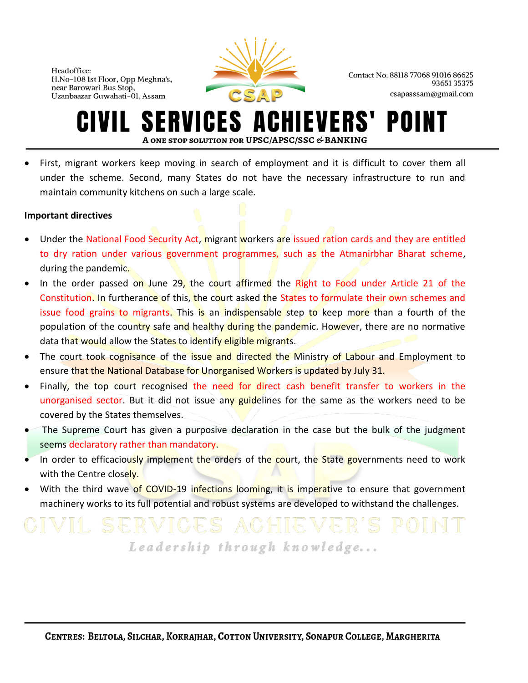

Contact No: 88118 77068 91016 86625 9365135375 csapasssam@gmail.com

#### ERVICES A **IEVERS'** POI A ONE STOP SOLUTION FOR UPSC/APSC/SSC & BANKING

• First, migrant workers keep moving in search of employment and it is difficult to cover them all under the scheme. Second, many States do not have the necessary infrastructure to run and maintain community kitchens on such a large scale.

### **Important directives**

- Under the National Food Security Act, migrant workers are issued ration cards and they are entitled to dry ration under various government programmes, such as the Atmanirbhar Bharat scheme, during the pandemic.
- In the order passed on June 29, the court affirmed the Right to Food under Article 21 of the Constitution. In furtherance of this, the court asked the States to formulate their own schemes and issue food grains to migrants. This is an indispensable step to keep more than a fourth of the population of the country safe and healthy during the pandemic. However, there are no normative data that would allow the States to identify eligible migrants.
- The court took cognisance of the issue and directed the Ministry of Labour and Employment to ensure that the National Database for Unorganised Workers is updated by July 31.
- Finally, the top court recognised the need for direct cash benefit transfer to workers in the unorganised sector. But it did not issue any guidelines for the same as the workers need to be covered by the States themselves.
- The Supreme Court has given a purposive declaration in the case but the bulk of the judgment seems declaratory rather than mandatory.
- In order to efficaciously implement the orders of the court, the State governments need to work with the Centre closely.
- With the third wave of COVID-19 infections looming, it is imperative to ensure that government machinery works to its full potential and robust systems are developed to withstand the challenges.

# Leadership through knowledge...